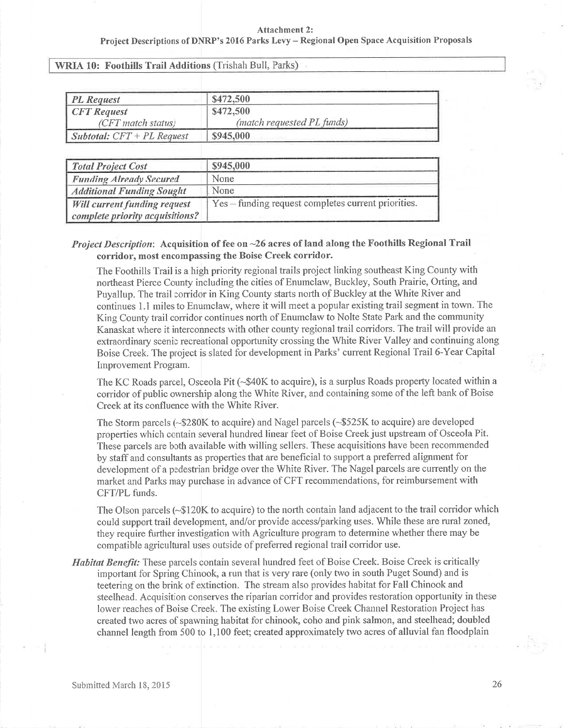WRIA 10: Foothills Trail Additions (Trishah Bull, Parks)

| <b>PL</b> Request                   | \$472,500                  |  |
|-------------------------------------|----------------------------|--|
| <b>CFT</b> Request                  | \$472,500                  |  |
| (CFT match status)                  | (match requested PL funds) |  |
| <b>Subtotal:</b> $CFT + PL$ Request | \$945,000                  |  |

| <b>Total Project Cost</b>           | \$945,000                                           |
|-------------------------------------|-----------------------------------------------------|
| <b>Funding Already Secured</b>      | None                                                |
| <b>Additional Funding Sought</b>    | None                                                |
| <b>Will current funding request</b> | Yes – funding request completes current priorities. |
| complete priority acquisitions?     |                                                     |

## Project Description: Acquisition of fee on ~26 acres of land along the Foothills Regional Trail corridor, most encompassing the Boise Creek corridor.

The Foothills Trail is a high priority regional trails project linking southeast King County with noftheast Pierce County including the cities of Enumclaw, Buckley, South Prairie, Ofting, andPuyallup. The trail corridor in King County starts north of Buckley at the White River and continues 1.1 miles to Enumclaw, where it will meet a popular existing trail segment in town. TheKing County trail corridor continues north of Enumelaw to Nolte State Park and the community Kanaskat where it interconnects with other county regional trail corridors. The trail will provide an extraordinary scenic recreational opportunity crossing the White River Valley and continuing along Boise Creek. The project is slated for developrnent in Parks' curent Regional Trail 6-Year Capital Improvement Program.

The KC Roads parcel, Osceola Pit (-\$40K to acquire), is a surplus Roads property located within a coridor of public ownership along the White River, and containing some of the left bank of BoiseCreek at its confluence with the White River.

The Storm parcels (-\$280K to acquire) and Nagel parcels (-\$525K to acquire) are developedproperties which contain several hundred linear feet of Boise Creek just upstream of Osceola Pit. These parcels are both available with willing sellers. These acquisitions have been recommendedby staffand consultants as properties that are beneficial to support a prefened alignrnent fordevelopment of a pedestrian bridge over the White River. The Nagel parcels are currently on the market and Parks may purchase in advance of CFT recommendations, for reimbursement withCFT/PL funds.

The Olson parcels  $(\sim $120K)$  to acquire) to the north contain land adjacent to the trail corridor which could support trail development, and/or provide access/parking uses. While these are rural zoned, they require further investigation with Agriculture program to detennine whether there may becompatible agricultural uses outside of preferred regional trail corridor use.

Habitat Benefit: These parcels contain several hundred feet of Boise Creek. Boise Creek is critically important for Spring Chinook, a run that is very rare (only two in south Puget Sound) and isteetering on the brink of extinction. The stream also provides habitat for Fall Chinook and steelhead. Acquisition conserves the riparian corridor and provides restoration opportunity in these lower reaches of Boise Creek. The existing Lower Boise Creek Channel Restoration Project has created two acres of spawning habitat for chinook, coho and pink salmon, and steelhead; doubledchannel length from 500 to 1,100 feet; created approximately two acres of alluvial fan floodplain